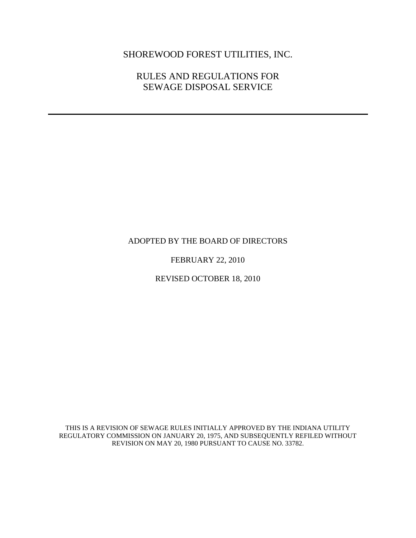# SHOREWOOD FOREST UTILITIES, INC.

## RULES AND REGULATIONS FOR SEWAGE DISPOSAL SERVICE

### ADOPTED BY THE BOARD OF DIRECTORS

### FEBRUARY 22, 2010

REVISED OCTOBER 18, 2010

THIS IS A REVISION OF SEWAGE RULES INITIALLY APPROVED BY THE INDIANA UTILITY REGULATORY COMMISSION ON JANUARY 20, 1975, AND SUBSEQUENTLY REFILED WITHOUT REVISION ON MAY 20, 1980 PURSUANT TO CAUSE NO. 33782.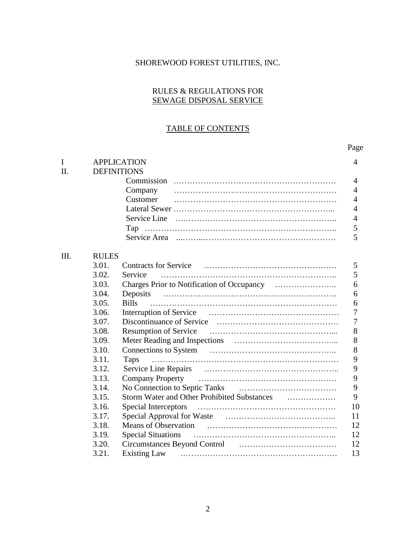## SHOREWOOD FOREST UTILITIES, INC.

### RULES & REGULATIONS FOR SEWAGE DISPOSAL SERVICE

## TABLE OF CONTENTS

## Page

| I    | <b>APPLICATION</b> |                                                                                                                                                                                                                                |                |  |  |
|------|--------------------|--------------------------------------------------------------------------------------------------------------------------------------------------------------------------------------------------------------------------------|----------------|--|--|
| II.  |                    | <b>DEFINITIONS</b>                                                                                                                                                                                                             |                |  |  |
|      |                    |                                                                                                                                                                                                                                | $\overline{4}$ |  |  |
|      |                    | Company                                                                                                                                                                                                                        | $\overline{4}$ |  |  |
|      |                    | Customer                                                                                                                                                                                                                       | $\overline{4}$ |  |  |
|      |                    |                                                                                                                                                                                                                                | $\overline{4}$ |  |  |
|      |                    |                                                                                                                                                                                                                                | $\overline{4}$ |  |  |
|      |                    |                                                                                                                                                                                                                                | 5              |  |  |
|      |                    |                                                                                                                                                                                                                                | 5              |  |  |
| III. | <b>RULES</b>       |                                                                                                                                                                                                                                |                |  |  |
|      | 3.01.              |                                                                                                                                                                                                                                | $\mathfrak{S}$ |  |  |
|      | 3.02.              | Service                                                                                                                                                                                                                        | 5              |  |  |
|      | 3.03.              |                                                                                                                                                                                                                                | 6              |  |  |
|      | 3.04.              | Deposits                                                                                                                                                                                                                       | 6              |  |  |
|      | 3.05.              | <b>Bills</b>                                                                                                                                                                                                                   | 6              |  |  |
|      | 3.06.              |                                                                                                                                                                                                                                | $\overline{7}$ |  |  |
|      | 3.07.              |                                                                                                                                                                                                                                | $\overline{7}$ |  |  |
|      | 3.08.              |                                                                                                                                                                                                                                | 8              |  |  |
|      | 3.09.              |                                                                                                                                                                                                                                | 8              |  |  |
|      | 3.10.              |                                                                                                                                                                                                                                | 8              |  |  |
|      | 3.11.              | Taps                                                                                                                                                                                                                           | 9              |  |  |
|      | 3.12.              |                                                                                                                                                                                                                                | 9              |  |  |
|      | 3.13.              |                                                                                                                                                                                                                                | 9              |  |  |
|      | 3.14.              |                                                                                                                                                                                                                                | 9              |  |  |
|      | 3.15.              |                                                                                                                                                                                                                                | 9              |  |  |
|      | 3.16.              |                                                                                                                                                                                                                                | 10             |  |  |
|      | 3.17.              |                                                                                                                                                                                                                                | 11             |  |  |
|      | 3.18.              |                                                                                                                                                                                                                                | 12             |  |  |
|      | 3.19.              | <b>Special Situations</b>                                                                                                                                                                                                      | 12             |  |  |
|      | 3.20.              | Circumstances Beyond Control [1995] [1996] [1996] [1996] [1996] [1996] [1996] [1996] [1996] [1996] [1996] [1996] [1996] [1996] [1996] [1996] [1996] [1996] [1996] [1996] [1996] [1996] [1996] [1996] [1996] [1996] [1996] [199 | 12             |  |  |
|      | 3.21.              | <b>Existing Law</b>                                                                                                                                                                                                            | 13             |  |  |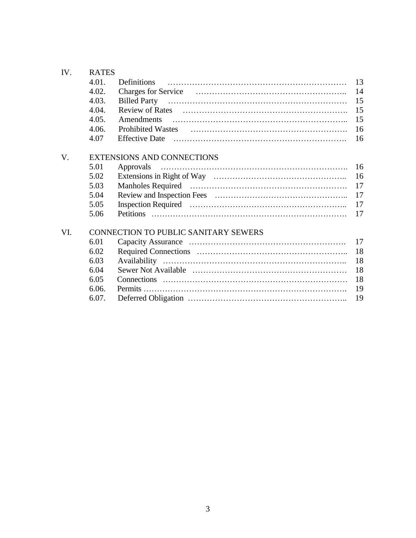| IV. | <b>RATES</b>                                |                                                                                                                                                                                                                               |    |  |  |
|-----|---------------------------------------------|-------------------------------------------------------------------------------------------------------------------------------------------------------------------------------------------------------------------------------|----|--|--|
|     | 4.01.                                       | Definitions                                                                                                                                                                                                                   | 13 |  |  |
|     | 4.02.                                       |                                                                                                                                                                                                                               | 14 |  |  |
|     | 4.03.                                       |                                                                                                                                                                                                                               | 15 |  |  |
|     | 4.04.                                       |                                                                                                                                                                                                                               | 15 |  |  |
|     | 4.05.                                       |                                                                                                                                                                                                                               | 15 |  |  |
|     | 4.06.                                       |                                                                                                                                                                                                                               | 16 |  |  |
|     | 4.07                                        | Effective Date (a) manufactured and the state of the state of the state of the state of the state of the state of the state of the state of the state of the state of the state of the state of the state of the state of the | 16 |  |  |
| V.  | <b>EXTENSIONS AND CONNECTIONS</b>           |                                                                                                                                                                                                                               |    |  |  |
|     | 5.01                                        | Approvals                                                                                                                                                                                                                     | 16 |  |  |
|     | 5.02                                        |                                                                                                                                                                                                                               | 16 |  |  |
|     | 5.03                                        |                                                                                                                                                                                                                               | 17 |  |  |
|     | 5.04                                        |                                                                                                                                                                                                                               | 17 |  |  |
|     | 5.05                                        |                                                                                                                                                                                                                               | 17 |  |  |
|     | 5.06                                        | <b>Petitions</b>                                                                                                                                                                                                              | 17 |  |  |
| VI. | <b>CONNECTION TO PUBLIC SANITARY SEWERS</b> |                                                                                                                                                                                                                               |    |  |  |
|     | 6.01                                        |                                                                                                                                                                                                                               | 17 |  |  |
|     | 6.02                                        |                                                                                                                                                                                                                               | 18 |  |  |
|     | 6.03                                        |                                                                                                                                                                                                                               | 18 |  |  |
|     | 6.04                                        |                                                                                                                                                                                                                               | 18 |  |  |
|     | 6.05                                        |                                                                                                                                                                                                                               | 18 |  |  |
|     | 6.06.                                       |                                                                                                                                                                                                                               | 19 |  |  |
|     | 6.07.                                       |                                                                                                                                                                                                                               | 19 |  |  |
|     |                                             |                                                                                                                                                                                                                               |    |  |  |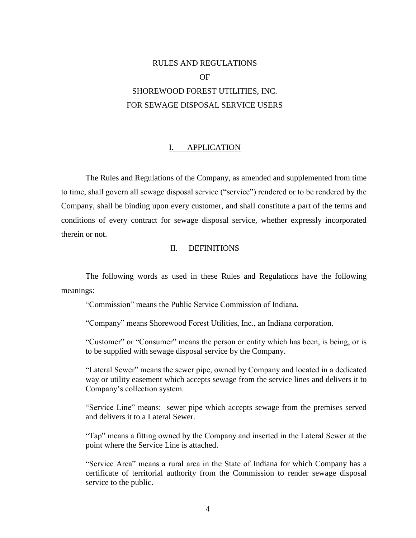# RULES AND REGULATIONS OF SHOREWOOD FOREST UTILITIES, INC. FOR SEWAGE DISPOSAL SERVICE USERS

### I. APPLICATION

The Rules and Regulations of the Company, as amended and supplemented from time to time, shall govern all sewage disposal service ("service") rendered or to be rendered by the Company, shall be binding upon every customer, and shall constitute a part of the terms and conditions of every contract for sewage disposal service, whether expressly incorporated therein or not.

### II. DEFINITIONS

The following words as used in these Rules and Regulations have the following meanings:

"Commission" means the Public Service Commission of Indiana.

"Company" means Shorewood Forest Utilities, Inc., an Indiana corporation.

"Customer" or "Consumer" means the person or entity which has been, is being, or is to be supplied with sewage disposal service by the Company.

"Lateral Sewer" means the sewer pipe, owned by Company and located in a dedicated way or utility easement which accepts sewage from the service lines and delivers it to Company's collection system.

"Service Line" means: sewer pipe which accepts sewage from the premises served and delivers it to a Lateral Sewer.

"Tap" means a fitting owned by the Company and inserted in the Lateral Sewer at the point where the Service Line is attached.

"Service Area" means a rural area in the State of Indiana for which Company has a certificate of territorial authority from the Commission to render sewage disposal service to the public.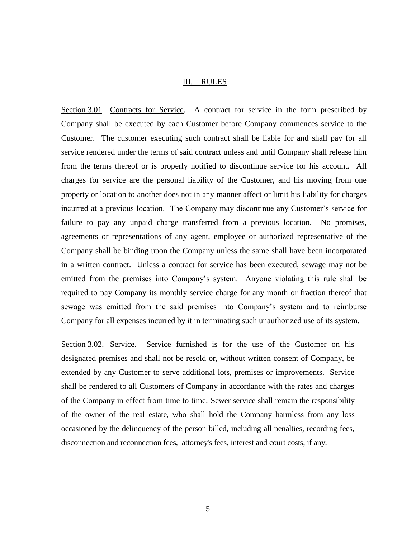### III. RULES

Section 3.01. Contracts for Service. A contract for service in the form prescribed by Company shall be executed by each Customer before Company commences service to the Customer. The customer executing such contract shall be liable for and shall pay for all service rendered under the terms of said contract unless and until Company shall release him from the terms thereof or is properly notified to discontinue service for his account. All charges for service are the personal liability of the Customer, and his moving from one property or location to another does not in any manner affect or limit his liability for charges incurred at a previous location. The Company may discontinue any Customer's service for failure to pay any unpaid charge transferred from a previous location. No promises, agreements or representations of any agent, employee or authorized representative of the Company shall be binding upon the Company unless the same shall have been incorporated in a written contract. Unless a contract for service has been executed, sewage may not be emitted from the premises into Company's system. Anyone violating this rule shall be required to pay Company its monthly service charge for any month or fraction thereof that sewage was emitted from the said premises into Company's system and to reimburse Company for all expenses incurred by it in terminating such unauthorized use of its system.

Section 3.02. Service. Service furnished is for the use of the Customer on his designated premises and shall not be resold or, without written consent of Company, be extended by any Customer to serve additional lots, premises or improvements. Service shall be rendered to all Customers of Company in accordance with the rates and charges of the Company in effect from time to time. Sewer service shall remain the responsibility of the owner of the real estate, who shall hold the Company harmless from any loss occasioned by the delinquency of the person billed, including all penalties, recording fees, disconnection and reconnection fees, attorney's fees, interest and court costs, if any.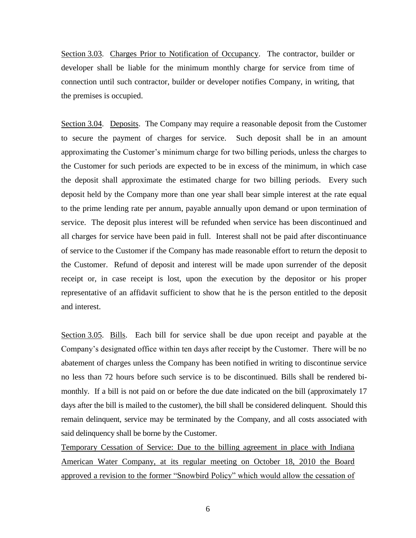Section 3.03. Charges Prior to Notification of Occupancy. The contractor, builder or developer shall be liable for the minimum monthly charge for service from time of connection until such contractor, builder or developer notifies Company, in writing, that the premises is occupied.

Section 3.04. Deposits. The Company may require a reasonable deposit from the Customer to secure the payment of charges for service. Such deposit shall be in an amount approximating the Customer's minimum charge for two billing periods, unless the charges to the Customer for such periods are expected to be in excess of the minimum, in which case the deposit shall approximate the estimated charge for two billing periods. Every such deposit held by the Company more than one year shall bear simple interest at the rate equal to the prime lending rate per annum, payable annually upon demand or upon termination of service. The deposit plus interest will be refunded when service has been discontinued and all charges for service have been paid in full. Interest shall not be paid after discontinuance of service to the Customer if the Company has made reasonable effort to return the deposit to the Customer. Refund of deposit and interest will be made upon surrender of the deposit receipt or, in case receipt is lost, upon the execution by the depositor or his proper representative of an affidavit sufficient to show that he is the person entitled to the deposit and interest.

Section 3.05. Bills. Each bill for service shall be due upon receipt and payable at the Company's designated office within ten days after receipt by the Customer. There will be no abatement of charges unless the Company has been notified in writing to discontinue service no less than 72 hours before such service is to be discontinued. Bills shall be rendered bimonthly. If a bill is not paid on or before the due date indicated on the bill (approximately 17 days after the bill is mailed to the customer), the bill shall be considered delinquent. Should this remain delinquent, service may be terminated by the Company, and all costs associated with said delinquency shall be borne by the Customer.

Temporary Cessation of Service: Due to the billing agreement in place with Indiana American Water Company, at its regular meeting on October 18, 2010 the Board approved a revision to the former "Snowbird Policy" which would allow the cessation of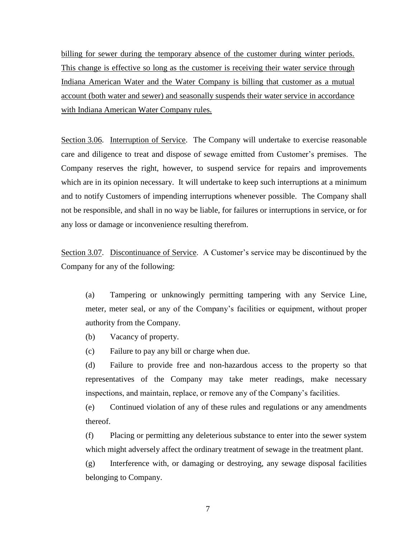billing for sewer during the temporary absence of the customer during winter periods. This change is effective so long as the customer is receiving their water service through Indiana American Water and the Water Company is billing that customer as a mutual account (both water and sewer) and seasonally suspends their water service in accordance with Indiana American Water Company rules.

Section 3.06. Interruption of Service. The Company will undertake to exercise reasonable care and diligence to treat and dispose of sewage emitted from Customer's premises. The Company reserves the right, however, to suspend service for repairs and improvements which are in its opinion necessary. It will undertake to keep such interruptions at a minimum and to notify Customers of impending interruptions whenever possible. The Company shall not be responsible, and shall in no way be liable, for failures or interruptions in service, or for any loss or damage or inconvenience resulting therefrom.

Section 3.07. Discontinuance of Service. A Customer's service may be discontinued by the Company for any of the following:

(a) Tampering or unknowingly permitting tampering with any Service Line, meter, meter seal, or any of the Company's facilities or equipment, without proper authority from the Company.

(b) Vacancy of property.

(c) Failure to pay any bill or charge when due.

(d) Failure to provide free and non-hazardous access to the property so that representatives of the Company may take meter readings, make necessary inspections, and maintain, replace, or remove any of the Company's facilities.

(e) Continued violation of any of these rules and regulations or any amendments thereof.

(f) Placing or permitting any deleterious substance to enter into the sewer system which might adversely affect the ordinary treatment of sewage in the treatment plant.

(g) Interference with, or damaging or destroying, any sewage disposal facilities belonging to Company.

7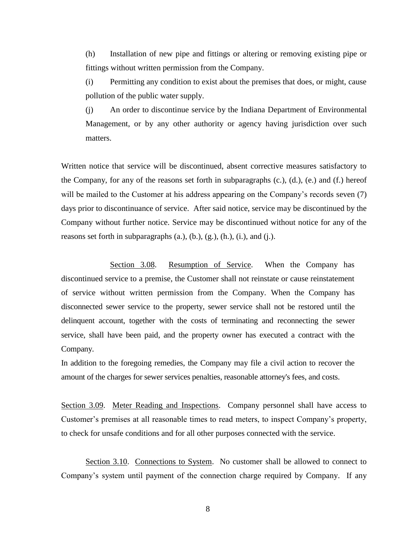(h) Installation of new pipe and fittings or altering or removing existing pipe or fittings without written permission from the Company.

(i) Permitting any condition to exist about the premises that does, or might, cause pollution of the public water supply.

(j) An order to discontinue service by the Indiana Department of Environmental Management, or by any other authority or agency having jurisdiction over such matters.

Written notice that service will be discontinued, absent corrective measures satisfactory to the Company, for any of the reasons set forth in subparagraphs  $(c, c)$ ,  $(d, d)$ ,  $(e, d)$  and  $(f, f)$  hereof will be mailed to the Customer at his address appearing on the Company's records seven (7) days prior to discontinuance of service. After said notice, service may be discontinued by the Company without further notice. Service may be discontinued without notice for any of the reasons set forth in subparagraphs  $(a, b)$ ,  $(b, b)$ ,  $(g, b)$ ,  $(h, b)$ ,  $(i, b)$ , and  $(i, b)$ .

Section 3.08. Resumption of Service. When the Company has discontinued service to a premise, the Customer shall not reinstate or cause reinstatement of service without written permission from the Company. When the Company has disconnected sewer service to the property, sewer service shall not be restored until the delinquent account, together with the costs of terminating and reconnecting the sewer service, shall have been paid, and the property owner has executed a contract with the Company.

In addition to the foregoing remedies, the Company may file a civil action to recover the amount of the charges for sewer services penalties, reasonable attorney's fees, and costs.

Section 3.09. Meter Reading and Inspections. Company personnel shall have access to Customer's premises at all reasonable times to read meters, to inspect Company's property, to check for unsafe conditions and for all other purposes connected with the service.

Section 3.10. Connections to System. No customer shall be allowed to connect to Company's system until payment of the connection charge required by Company. If any

8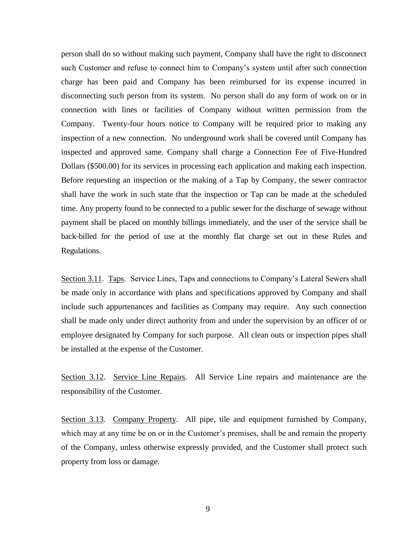person shall do so without making such payment, Company shall have the right to disconnect such Customer and refuse to connect him to Company's system until after such connection charge has been paid and Company has been reimbursed for its expense incurred in disconnecting such person from its system. No person shall do any form of work on or in connection with lines or facilities of Company without written permission from the Company. Twenty-four hours notice to Company will be required prior to making any inspection of a new connection. No underground work shall be covered until Company has inspected and approved same. Company shall charge a Connection Fee of Five-Hundred Dollars (\$500.00) for its services in processing each application and making each inspection. Before requesting an inspection or the making of a Tap by Company, the sewer contractor shall have the work in such state that the inspection or Tap can be made at the scheduled time. Any property found to be connected to a public sewer for the discharge of sewage without payment shall be placed on monthly billings immediately, and the user of the service shall be back-billed for the period of use at the monthly flat charge set out in these Rules and Regulations.

Section 3.11. Taps. Service Lines, Taps and connections to Company's Lateral Sewers shall be made only in accordance with plans and specifications approved by Company and shall include such appurtenances and facilities as Company may require. Any such connection shall be made only under direct authority from and under the supervision by an officer of or employee designated by Company for such purpose. All clean outs or inspection pipes shall be installed at the expense of the Customer.

Section 3.12. Service Line Repairs. All Service Line repairs and maintenance are the responsibility of the Customer.

Section 3.13. Company Property. All pipe, tile and equipment furnished by Company, which may at any time be on or in the Customer's premises, shall be and remain the property of the Company, unless otherwise expressly provided, and the Customer shall protect such property from loss or damage.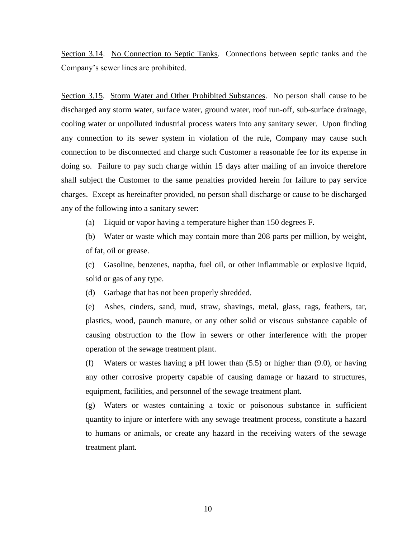Section 3.14. No Connection to Septic Tanks. Connections between septic tanks and the Company's sewer lines are prohibited.

Section 3.15. Storm Water and Other Prohibited Substances. No person shall cause to be discharged any storm water, surface water, ground water, roof run-off, sub-surface drainage, cooling water or unpolluted industrial process waters into any sanitary sewer. Upon finding any connection to its sewer system in violation of the rule, Company may cause such connection to be disconnected and charge such Customer a reasonable fee for its expense in doing so. Failure to pay such charge within 15 days after mailing of an invoice therefore shall subject the Customer to the same penalties provided herein for failure to pay service charges. Except as hereinafter provided, no person shall discharge or cause to be discharged any of the following into a sanitary sewer:

(a) Liquid or vapor having a temperature higher than 150 degrees F.

(b) Water or waste which may contain more than 208 parts per million, by weight, of fat, oil or grease.

(c) Gasoline, benzenes, naptha, fuel oil, or other inflammable or explosive liquid, solid or gas of any type.

(d) Garbage that has not been properly shredded.

(e) Ashes, cinders, sand, mud, straw, shavings, metal, glass, rags, feathers, tar, plastics, wood, paunch manure, or any other solid or viscous substance capable of causing obstruction to the flow in sewers or other interference with the proper operation of the sewage treatment plant.

(f) Waters or wastes having a pH lower than (5.5) or higher than (9.0), or having any other corrosive property capable of causing damage or hazard to structures, equipment, facilities, and personnel of the sewage treatment plant.

(g) Waters or wastes containing a toxic or poisonous substance in sufficient quantity to injure or interfere with any sewage treatment process, constitute a hazard to humans or animals, or create any hazard in the receiving waters of the sewage treatment plant.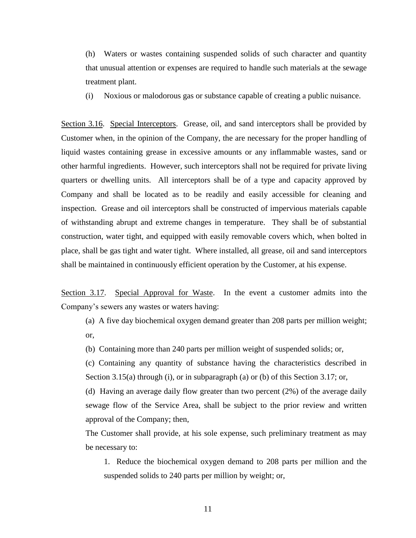(h) Waters or wastes containing suspended solids of such character and quantity that unusual attention or expenses are required to handle such materials at the sewage treatment plant.

(i) Noxious or malodorous gas or substance capable of creating a public nuisance.

Section 3.16. Special Interceptors. Grease, oil, and sand interceptors shall be provided by Customer when, in the opinion of the Company, the are necessary for the proper handling of liquid wastes containing grease in excessive amounts or any inflammable wastes, sand or other harmful ingredients. However, such interceptors shall not be required for private living quarters or dwelling units. All interceptors shall be of a type and capacity approved by Company and shall be located as to be readily and easily accessible for cleaning and inspection. Grease and oil interceptors shall be constructed of impervious materials capable of withstanding abrupt and extreme changes in temperature. They shall be of substantial construction, water tight, and equipped with easily removable covers which, when bolted in place, shall be gas tight and water tight. Where installed, all grease, oil and sand interceptors shall be maintained in continuously efficient operation by the Customer, at his expense.

Section 3.17. Special Approval for Waste. In the event a customer admits into the Company's sewers any wastes or waters having:

- (a) A five day biochemical oxygen demand greater than 208 parts per million weight; or,
- (b) Containing more than 240 parts per million weight of suspended solids; or,

(c) Containing any quantity of substance having the characteristics described in Section 3.15(a) through (i), or in subparagraph (a) or (b) of this Section 3.17; or,

(d) Having an average daily flow greater than two percent (2%) of the average daily sewage flow of the Service Area, shall be subject to the prior review and written approval of the Company; then,

The Customer shall provide, at his sole expense, such preliminary treatment as may be necessary to:

1. Reduce the biochemical oxygen demand to 208 parts per million and the suspended solids to 240 parts per million by weight; or,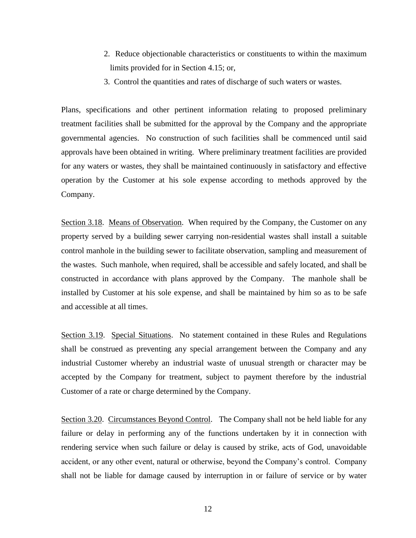- 2. Reduce objectionable characteristics or constituents to within the maximum limits provided for in Section 4.15; or,
- 3. Control the quantities and rates of discharge of such waters or wastes.

Plans, specifications and other pertinent information relating to proposed preliminary treatment facilities shall be submitted for the approval by the Company and the appropriate governmental agencies. No construction of such facilities shall be commenced until said approvals have been obtained in writing. Where preliminary treatment facilities are provided for any waters or wastes, they shall be maintained continuously in satisfactory and effective operation by the Customer at his sole expense according to methods approved by the Company.

Section 3.18. Means of Observation. When required by the Company, the Customer on any property served by a building sewer carrying non-residential wastes shall install a suitable control manhole in the building sewer to facilitate observation, sampling and measurement of the wastes. Such manhole, when required, shall be accessible and safely located, and shall be constructed in accordance with plans approved by the Company. The manhole shall be installed by Customer at his sole expense, and shall be maintained by him so as to be safe and accessible at all times.

Section 3.19. Special Situations. No statement contained in these Rules and Regulations shall be construed as preventing any special arrangement between the Company and any industrial Customer whereby an industrial waste of unusual strength or character may be accepted by the Company for treatment, subject to payment therefore by the industrial Customer of a rate or charge determined by the Company.

Section 3.20. Circumstances Beyond Control. The Company shall not be held liable for any failure or delay in performing any of the functions undertaken by it in connection with rendering service when such failure or delay is caused by strike, acts of God, unavoidable accident, or any other event, natural or otherwise, beyond the Company's control. Company shall not be liable for damage caused by interruption in or failure of service or by water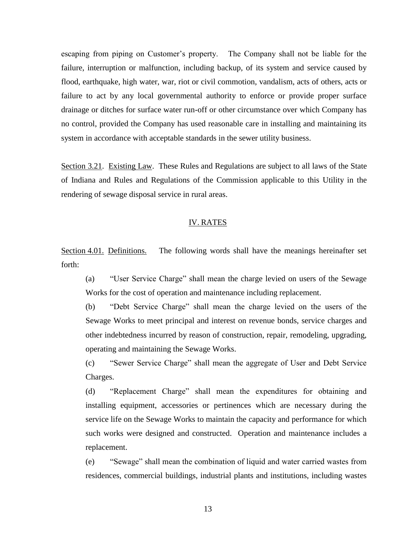escaping from piping on Customer's property. The Company shall not be liable for the failure, interruption or malfunction, including backup, of its system and service caused by flood, earthquake, high water, war, riot or civil commotion, vandalism, acts of others, acts or failure to act by any local governmental authority to enforce or provide proper surface drainage or ditches for surface water run-off or other circumstance over which Company has no control, provided the Company has used reasonable care in installing and maintaining its system in accordance with acceptable standards in the sewer utility business.

Section 3.21. Existing Law. These Rules and Regulations are subject to all laws of the State of Indiana and Rules and Regulations of the Commission applicable to this Utility in the rendering of sewage disposal service in rural areas.

### IV. RATES

Section 4.01. Definitions. The following words shall have the meanings hereinafter set forth:

(a) "User Service Charge" shall mean the charge levied on users of the Sewage Works for the cost of operation and maintenance including replacement.

(b) "Debt Service Charge" shall mean the charge levied on the users of the Sewage Works to meet principal and interest on revenue bonds, service charges and other indebtedness incurred by reason of construction, repair, remodeling, upgrading, operating and maintaining the Sewage Works.

(c) "Sewer Service Charge" shall mean the aggregate of User and Debt Service Charges.

(d) "Replacement Charge" shall mean the expenditures for obtaining and installing equipment, accessories or pertinences which are necessary during the service life on the Sewage Works to maintain the capacity and performance for which such works were designed and constructed. Operation and maintenance includes a replacement.

(e) "Sewage" shall mean the combination of liquid and water carried wastes from residences, commercial buildings, industrial plants and institutions, including wastes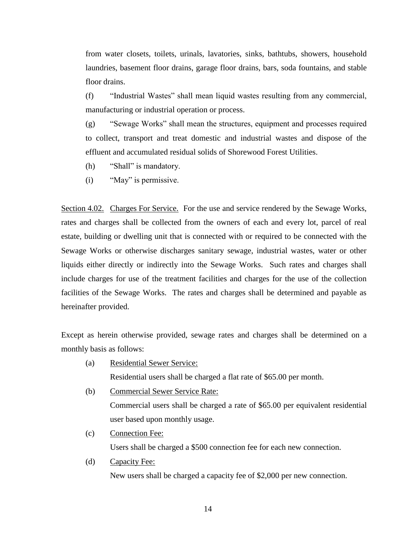from water closets, toilets, urinals, lavatories, sinks, bathtubs, showers, household laundries, basement floor drains, garage floor drains, bars, soda fountains, and stable floor drains.

(f) "Industrial Wastes" shall mean liquid wastes resulting from any commercial, manufacturing or industrial operation or process.

(g) "Sewage Works" shall mean the structures, equipment and processes required to collect, transport and treat domestic and industrial wastes and dispose of the effluent and accumulated residual solids of Shorewood Forest Utilities.

- (h) "Shall" is mandatory.
- (i) "May" is permissive.

Section 4.02. Charges For Service. For the use and service rendered by the Sewage Works, rates and charges shall be collected from the owners of each and every lot, parcel of real estate, building or dwelling unit that is connected with or required to be connected with the Sewage Works or otherwise discharges sanitary sewage, industrial wastes, water or other liquids either directly or indirectly into the Sewage Works. Such rates and charges shall include charges for use of the treatment facilities and charges for the use of the collection facilities of the Sewage Works. The rates and charges shall be determined and payable as hereinafter provided.

Except as herein otherwise provided, sewage rates and charges shall be determined on a monthly basis as follows:

(a) Residential Sewer Service:

Residential users shall be charged a flat rate of \$65.00 per month.

- (b) Commercial Sewer Service Rate: Commercial users shall be charged a rate of \$65.00 per equivalent residential user based upon monthly usage.
- (c) Connection Fee: Users shall be charged a \$500 connection fee for each new connection.
- (d) Capacity Fee:

New users shall be charged a capacity fee of \$2,000 per new connection.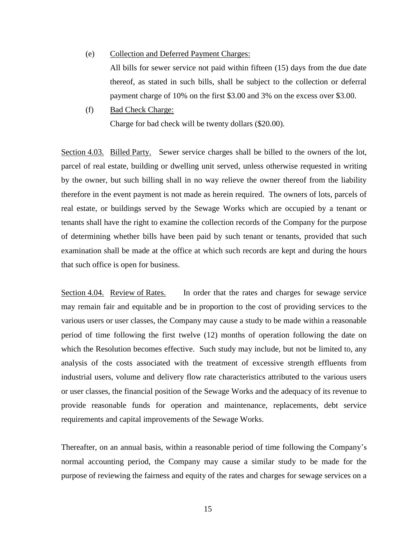- (e) Collection and Deferred Payment Charges: All bills for sewer service not paid within fifteen (15) days from the due date thereof, as stated in such bills, shall be subject to the collection or deferral payment charge of 10% on the first \$3.00 and 3% on the excess over \$3.00.
- (f) Bad Check Charge: Charge for bad check will be twenty dollars (\$20.00).

Section 4.03. Billed Party. Sewer service charges shall be billed to the owners of the lot, parcel of real estate, building or dwelling unit served, unless otherwise requested in writing by the owner, but such billing shall in no way relieve the owner thereof from the liability therefore in the event payment is not made as herein required. The owners of lots, parcels of real estate, or buildings served by the Sewage Works which are occupied by a tenant or tenants shall have the right to examine the collection records of the Company for the purpose of determining whether bills have been paid by such tenant or tenants, provided that such examination shall be made at the office at which such records are kept and during the hours that such office is open for business.

Section 4.04. Review of Rates. In order that the rates and charges for sewage service may remain fair and equitable and be in proportion to the cost of providing services to the various users or user classes, the Company may cause a study to be made within a reasonable period of time following the first twelve (12) months of operation following the date on which the Resolution becomes effective. Such study may include, but not be limited to, any analysis of the costs associated with the treatment of excessive strength effluents from industrial users, volume and delivery flow rate characteristics attributed to the various users or user classes, the financial position of the Sewage Works and the adequacy of its revenue to provide reasonable funds for operation and maintenance, replacements, debt service requirements and capital improvements of the Sewage Works.

Thereafter, on an annual basis, within a reasonable period of time following the Company's normal accounting period, the Company may cause a similar study to be made for the purpose of reviewing the fairness and equity of the rates and charges for sewage services on a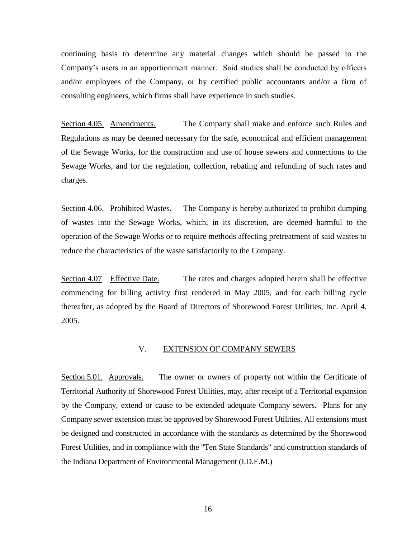continuing basis to determine any material changes which should be passed to the Company's users in an apportionment manner. Said studies shall be conducted by officers and/or employees of the Company, or by certified public accountants and/or a firm of consulting engineers, which firms shall have experience in such studies.

Section 4.05. Amendments. The Company shall make and enforce such Rules and Regulations as may be deemed necessary for the safe, economical and efficient management of the Sewage Works, for the construction and use of house sewers and connections to the Sewage Works, and for the regulation, collection, rebating and refunding of such rates and charges.

Section 4.06. Prohibited Wastes. The Company is hereby authorized to prohibit dumping of wastes into the Sewage Works, which, in its discretion, are deemed harmful to the operation of the Sewage Works or to require methods affecting pretreatment of said wastes to reduce the characteristics of the waste satisfactorily to the Company.

Section 4.07 Effective Date. The rates and charges adopted herein shall be effective commencing for billing activity first rendered in May 2005, and for each billing cycle thereafter, as adopted by the Board of Directors of Shorewood Forest Utilities, Inc. April 4, 2005.

### V. EXTENSION OF COMPANY SEWERS

Section 5.01. Approvals. The owner or owners of property not within the Certificate of Territorial Authority of Shorewood Forest Utilities, may, after receipt of a Territorial expansion by the Company, extend or cause to be extended adequate Company sewers. Plans for any Company sewer extension must be approved by Shorewood Forest Utilities. All extensions must be designed and constructed in accordance with the standards as determined by the Shorewood Forest Utilities, and in compliance with the "Ten State Standards" and construction standards of the Indiana Department of Environmental Management (I.D.E.M.)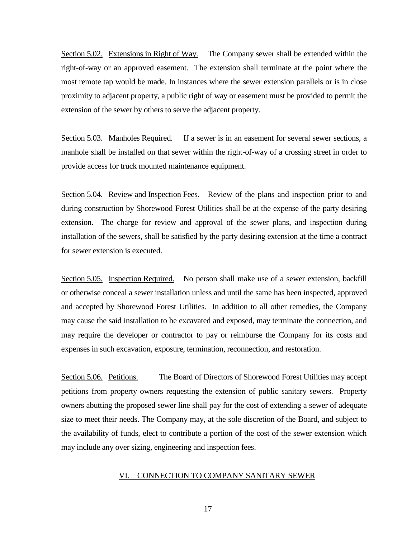Section 5.02. Extensions in Right of Way. The Company sewer shall be extended within the right-of-way or an approved easement. The extension shall terminate at the point where the most remote tap would be made. In instances where the sewer extension parallels or is in close proximity to adjacent property, a public right of way or easement must be provided to permit the extension of the sewer by others to serve the adjacent property.

Section 5.03. Manholes Required. If a sewer is in an easement for several sewer sections, a manhole shall be installed on that sewer within the right-of-way of a crossing street in order to provide access for truck mounted maintenance equipment.

Section 5.04. Review and Inspection Fees. Review of the plans and inspection prior to and during construction by Shorewood Forest Utilities shall be at the expense of the party desiring extension. The charge for review and approval of the sewer plans, and inspection during installation of the sewers, shall be satisfied by the party desiring extension at the time a contract for sewer extension is executed.

Section 5.05. Inspection Required. No person shall make use of a sewer extension, backfill or otherwise conceal a sewer installation unless and until the same has been inspected, approved and accepted by Shorewood Forest Utilities. In addition to all other remedies, the Company may cause the said installation to be excavated and exposed, may terminate the connection, and may require the developer or contractor to pay or reimburse the Company for its costs and expenses in such excavation, exposure, termination, reconnection, and restoration.

Section 5.06. Petitions. The Board of Directors of Shorewood Forest Utilities may accept petitions from property owners requesting the extension of public sanitary sewers. Property owners abutting the proposed sewer line shall pay for the cost of extending a sewer of adequate size to meet their needs. The Company may, at the sole discretion of the Board, and subject to the availability of funds, elect to contribute a portion of the cost of the sewer extension which may include any over sizing, engineering and inspection fees.

#### VI. CONNECTION TO COMPANY SANITARY SEWER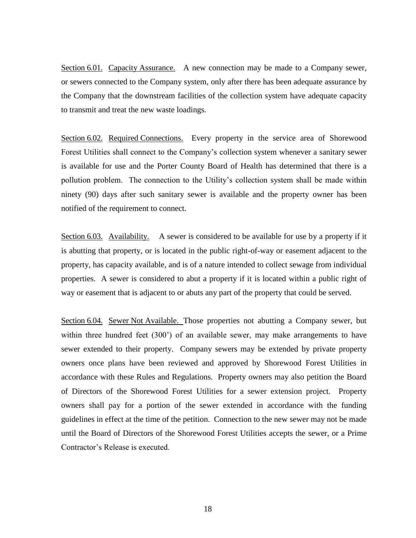Section 6.01. Capacity Assurance. A new connection may be made to a Company sewer, or sewers connected to the Company system, only after there has been adequate assurance by the Company that the downstream facilities of the collection system have adequate capacity to transmit and treat the new waste loadings.

Section 6.02. Required Connections. Every property in the service area of Shorewood Forest Utilities shall connect to the Company's collection system whenever a sanitary sewer is available for use and the Porter County Board of Health has determined that there is a pollution problem. The connection to the Utility's collection system shall be made within ninety (90) days after such sanitary sewer is available and the property owner has been notified of the requirement to connect.

Section 6.03. Availability. A sewer is considered to be available for use by a property if it is abutting that property, or is located in the public right-of-way or easement adjacent to the property, has capacity available, and is of a nature intended to collect sewage from individual properties. A sewer is considered to abut a property if it is located within a public right of way or easement that is adjacent to or abuts any part of the property that could be served.

Section 6.04. Sewer Not Available. Those properties not abutting a Company sewer, but within three hundred feet (300') of an available sewer, may make arrangements to have sewer extended to their property. Company sewers may be extended by private property owners once plans have been reviewed and approved by Shorewood Forest Utilities in accordance with these Rules and Regulations. Property owners may also petition the Board of Directors of the Shorewood Forest Utilities for a sewer extension project. Property owners shall pay for a portion of the sewer extended in accordance with the funding guidelines in effect at the time of the petition. Connection to the new sewer may not be made until the Board of Directors of the Shorewood Forest Utilities accepts the sewer, or a Prime Contractor's Release is executed.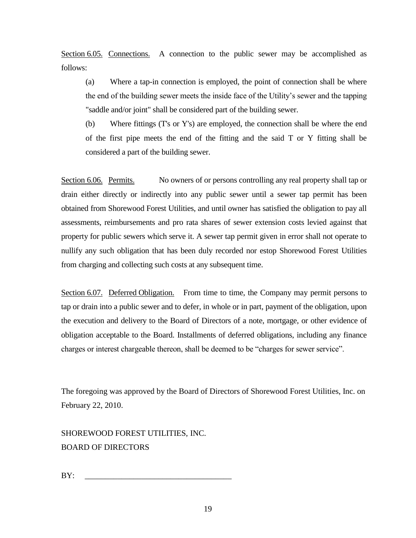Section 6.05. Connections. A connection to the public sewer may be accomplished as follows:

(a) Where a tap-in connection is employed, the point of connection shall be where the end of the building sewer meets the inside face of the Utility's sewer and the tapping "saddle and/or joint" shall be considered part of the building sewer.

(b) Where fittings (T's or Y's) are employed, the connection shall be where the end of the first pipe meets the end of the fitting and the said T or Y fitting shall be considered a part of the building sewer.

Section 6.06. Permits. No owners of or persons controlling any real property shall tap or drain either directly or indirectly into any public sewer until a sewer tap permit has been obtained from Shorewood Forest Utilities, and until owner has satisfied the obligation to pay all assessments, reimbursements and pro rata shares of sewer extension costs levied against that property for public sewers which serve it. A sewer tap permit given in error shall not operate to nullify any such obligation that has been duly recorded nor estop Shorewood Forest Utilities from charging and collecting such costs at any subsequent time.

Section 6.07. Deferred Obligation. From time to time, the Company may permit persons to tap or drain into a public sewer and to defer, in whole or in part, payment of the obligation, upon the execution and delivery to the Board of Directors of a note, mortgage, or other evidence of obligation acceptable to the Board. Installments of deferred obligations, including any finance charges or interest chargeable thereon, shall be deemed to be "charges for sewer service".

The foregoing was approved by the Board of Directors of Shorewood Forest Utilities, Inc. on February 22, 2010.

SHOREWOOD FOREST UTILITIES, INC. BOARD OF DIRECTORS

BY: \_\_\_\_\_\_\_\_\_\_\_\_\_\_\_\_\_\_\_\_\_\_\_\_\_\_\_\_\_\_\_\_\_\_\_\_